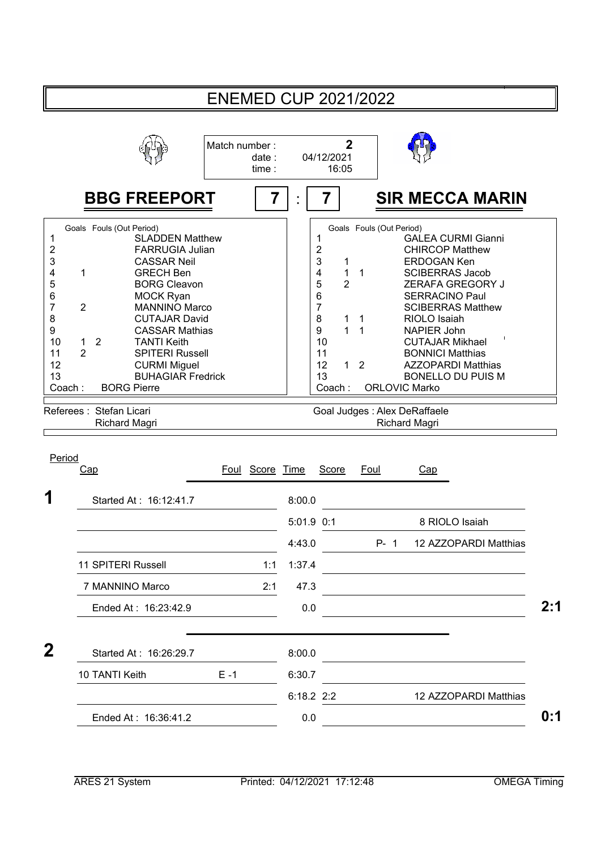|                                                                                                                                                                                                                                                                                                                                                                                                           |                                                                                                                                                                                                        | <b>ENEMED CUP 2021/2022</b>                                                                                                                                                                  |                                                                                                                                                                                                                                                                                                                                                                                                                                                                                                              |
|-----------------------------------------------------------------------------------------------------------------------------------------------------------------------------------------------------------------------------------------------------------------------------------------------------------------------------------------------------------------------------------------------------------|--------------------------------------------------------------------------------------------------------------------------------------------------------------------------------------------------------|----------------------------------------------------------------------------------------------------------------------------------------------------------------------------------------------|--------------------------------------------------------------------------------------------------------------------------------------------------------------------------------------------------------------------------------------------------------------------------------------------------------------------------------------------------------------------------------------------------------------------------------------------------------------------------------------------------------------|
|                                                                                                                                                                                                                                                                                                                                                                                                           | Match number:<br>date:<br>time:                                                                                                                                                                        | $\overline{2}$<br>04/12/2021<br>16:05                                                                                                                                                        |                                                                                                                                                                                                                                                                                                                                                                                                                                                                                                              |
| <b>BBG FREEPORT</b>                                                                                                                                                                                                                                                                                                                                                                                       | 7                                                                                                                                                                                                      | 7                                                                                                                                                                                            | <b>SIR MECCA MARIN</b>                                                                                                                                                                                                                                                                                                                                                                                                                                                                                       |
| Goals Fouls (Out Period)<br>1<br>$\overline{\mathbf{c}}$<br>3<br><b>CASSAR Neil</b><br>4<br>1<br><b>GRECH Ben</b><br>5<br>6<br><b>MOCK Ryan</b><br>$\overline{7}$<br>$\overline{2}$<br>8<br>9<br>10<br>$\overline{2}$<br><b>TANTI Keith</b><br>$\mathbf{1}$<br>$\overline{2}$<br>11<br>12<br><b>CURMI Miguel</b><br>13<br>Coach:<br><b>BORG Pierre</b><br>Referees: Stefan Licari<br><b>Richard Magri</b> | <b>SLADDEN Matthew</b><br><b>FARRUGIA Julian</b><br><b>BORG Cleavon</b><br><b>MANNINO Marco</b><br><b>CUTAJAR David</b><br><b>CASSAR Mathias</b><br><b>SPITERI Russell</b><br><b>BUHAGIAR Fredrick</b> | 1<br>$\overline{\mathbf{c}}$<br>3<br>1<br>$\overline{4}$<br>$\mathbf{1}$<br>5<br>$\overline{2}$<br>6<br>7<br>8<br>1<br>$\overline{1}$<br>9<br>10<br>11<br>12<br>$\mathbf{1}$<br>13<br>Coach: | Goals Fouls (Out Period)<br><b>GALEA CURMI Gianni</b><br><b>CHIRCOP Matthew</b><br><b>ERDOGAN Ken</b><br>$\mathbf{1}$<br><b>SCIBERRAS Jacob</b><br>ZERAFA GREGORY J<br><b>SERRACINO Paul</b><br><b>SCIBERRAS Matthew</b><br>RIOLO Isaiah<br>$\overline{1}$<br>$\overline{1}$<br><b>NAPIER John</b><br><b>CUTAJAR Mikhael</b><br><b>BONNICI Matthias</b><br>$\overline{2}$<br><b>AZZOPARDI Matthias</b><br><b>BONELLO DU PUIS M</b><br><b>ORLOVIC Marko</b><br>Goal Judges : Alex DeRaffaele<br>Richard Magri |
| Period<br>Cap                                                                                                                                                                                                                                                                                                                                                                                             | Foul Score Time                                                                                                                                                                                        | Score                                                                                                                                                                                        | Foul<br>Cap                                                                                                                                                                                                                                                                                                                                                                                                                                                                                                  |
| Started At: 16:12:41.7                                                                                                                                                                                                                                                                                                                                                                                    |                                                                                                                                                                                                        | 8:00.0                                                                                                                                                                                       |                                                                                                                                                                                                                                                                                                                                                                                                                                                                                                              |
|                                                                                                                                                                                                                                                                                                                                                                                                           |                                                                                                                                                                                                        | 5:01.9 0:1                                                                                                                                                                                   | 8 RIOLO Isaiah                                                                                                                                                                                                                                                                                                                                                                                                                                                                                               |
|                                                                                                                                                                                                                                                                                                                                                                                                           |                                                                                                                                                                                                        | 4:43.0                                                                                                                                                                                       | $P - 1$<br>12 AZZOPARDI Matthias                                                                                                                                                                                                                                                                                                                                                                                                                                                                             |
| 11 SPITERI Russell                                                                                                                                                                                                                                                                                                                                                                                        | 1:1                                                                                                                                                                                                    | 1:37.4                                                                                                                                                                                       |                                                                                                                                                                                                                                                                                                                                                                                                                                                                                                              |
| 7 MANNINO Marco                                                                                                                                                                                                                                                                                                                                                                                           | 2:1                                                                                                                                                                                                    | 47.3                                                                                                                                                                                         |                                                                                                                                                                                                                                                                                                                                                                                                                                                                                                              |
| Ended At: 16:23:42.9                                                                                                                                                                                                                                                                                                                                                                                      |                                                                                                                                                                                                        | 0.0                                                                                                                                                                                          |                                                                                                                                                                                                                                                                                                                                                                                                                                                                                                              |
|                                                                                                                                                                                                                                                                                                                                                                                                           |                                                                                                                                                                                                        |                                                                                                                                                                                              |                                                                                                                                                                                                                                                                                                                                                                                                                                                                                                              |
| $\mathbf{2}$<br>Started At: 16:26:29.7                                                                                                                                                                                                                                                                                                                                                                    |                                                                                                                                                                                                        | 8:00.0                                                                                                                                                                                       |                                                                                                                                                                                                                                                                                                                                                                                                                                                                                                              |
| 10 TANTI Keith                                                                                                                                                                                                                                                                                                                                                                                            | $E - 1$                                                                                                                                                                                                | 6:30.7                                                                                                                                                                                       |                                                                                                                                                                                                                                                                                                                                                                                                                                                                                                              |
|                                                                                                                                                                                                                                                                                                                                                                                                           |                                                                                                                                                                                                        | $6:18.2$ 2:2                                                                                                                                                                                 | 12 AZZOPARDI Matthias                                                                                                                                                                                                                                                                                                                                                                                                                                                                                        |